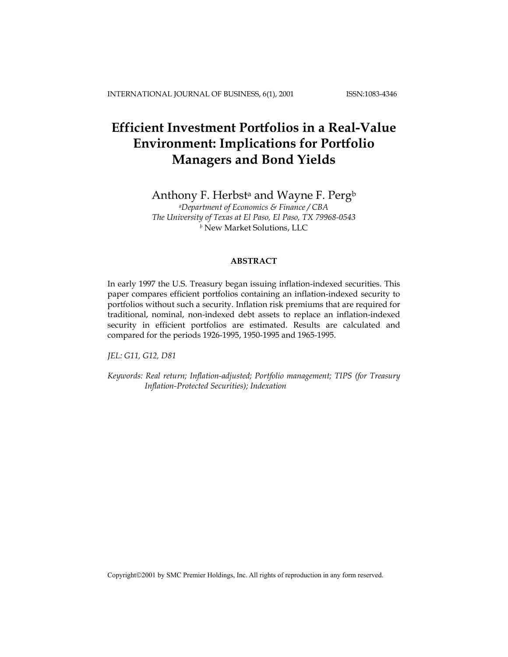# **Efficient Investment Portfolios in a Real-Value Environment: Implications for Portfolio Managers and Bond Yields**

Anthony F. Herbst<sup>a</sup> and Wayne F. Perg<sup>b</sup>

*aDepartment of Economics & Finance / CBA The University of Texas at El Paso, El Paso, TX 79968-0543 <sup>b</sup>* New Market Solutions, LLC

# **ABSTRACT**

In early 1997 the U.S. Treasury began issuing inflation-indexed securities. This paper compares efficient portfolios containing an inflation-indexed security to portfolios without such a security. Inflation risk premiums that are required for traditional, nominal, non-indexed debt assets to replace an inflation-indexed security in efficient portfolios are estimated. Results are calculated and compared for the periods 1926-1995, 1950-1995 and 1965-1995.

*JEL: G11, G12, D81* 

*Keywords: Real return; Inflation-adjusted; Portfolio management; TIPS (for Treasury Inflation-Protected Securities); Indexation* 

Copyright©2001 by SMC Premier Holdings, Inc. All rights of reproduction in any form reserved.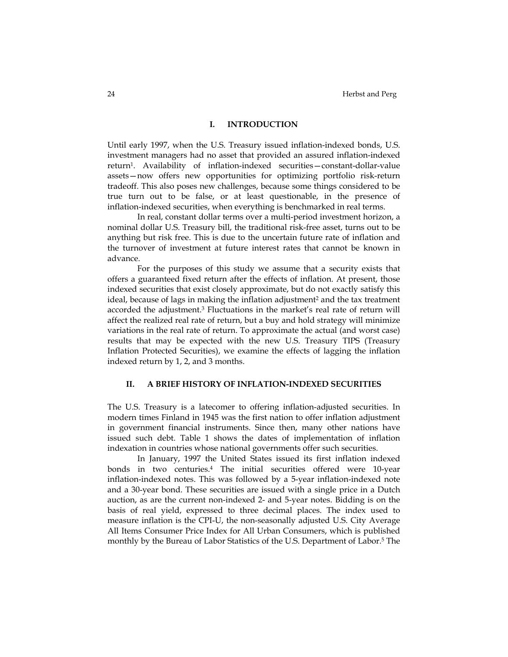# **I. INTRODUCTION**

Until early 1997, when the U.S. Treasury issued inflation-indexed bonds, U.S. investment managers had no asset that provided an assured inflation-indexed return1. Availability of inflation-indexed securities—constant-dollar-value assets—now offers new opportunities for optimizing portfolio risk-return tradeoff. This also poses new challenges, because some things considered to be true turn out to be false, or at least questionable, in the presence of inflation-indexed securities, when everything is benchmarked in real terms.

In real, constant dollar terms over a multi-period investment horizon, a nominal dollar U.S. Treasury bill, the traditional risk-free asset, turns out to be anything but risk free. This is due to the uncertain future rate of inflation and the turnover of investment at future interest rates that cannot be known in advance.

For the purposes of this study we assume that a security exists that offers a guaranteed fixed return after the effects of inflation. At present, those indexed securities that exist closely approximate, but do not exactly satisfy this ideal, because of lags in making the inflation adjustment<sup>2</sup> and the tax treatment accorded the adjustment.3 Fluctuations in the market's real rate of return will affect the realized real rate of return, but a buy and hold strategy will minimize variations in the real rate of return. To approximate the actual (and worst case) results that may be expected with the new U.S. Treasury TIPS (Treasury Inflation Protected Securities), we examine the effects of lagging the inflation indexed return by 1, 2, and 3 months.

# **II. A BRIEF HISTORY OF INFLATION-INDEXED SECURITIES**

The U.S. Treasury is a latecomer to offering inflation-adjusted securities. In modern times Finland in 1945 was the first nation to offer inflation adjustment in government financial instruments. Since then, many other nations have issued such debt. Table 1 shows the dates of implementation of inflation indexation in countries whose national governments offer such securities.

In January, 1997 the United States issued its first inflation indexed bonds in two centuries.4 The initial securities offered were 10-year inflation-indexed notes. This was followed by a 5-year inflation-indexed note and a 30-year bond. These securities are issued with a single price in a Dutch auction, as are the current non-indexed 2- and 5-year notes. Bidding is on the basis of real yield, expressed to three decimal places. The index used to measure inflation is the CPI-U, the non-seasonally adjusted U.S. City Average All Items Consumer Price Index for All Urban Consumers, which is published monthly by the Bureau of Labor Statistics of the U.S. Department of Labor.5 The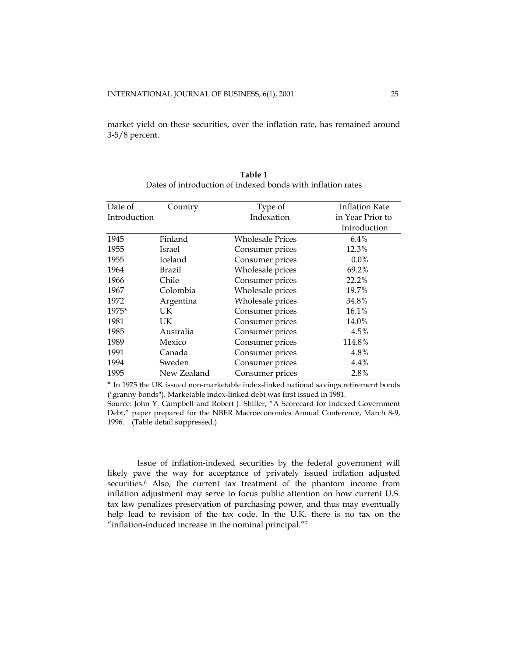market yield on these securities, over the inflation rate, has remained around 3-5/8 percent.

| Date of      | Country        | Type of          | <b>Inflation Rate</b> |  |  |
|--------------|----------------|------------------|-----------------------|--|--|
| Introduction |                | Indexation       | in Year Prior to      |  |  |
|              |                |                  | Introduction          |  |  |
| 1945         | Finland        | Wholesale Prices | $6.4\%$               |  |  |
| 1955         | Israel         | Consumer prices  | 12.3%                 |  |  |
| 1955         | <b>Iceland</b> | Consumer prices  | 0.0%                  |  |  |
| 1964         | Brazil         | Wholesale prices | 69.2%                 |  |  |
| 1966         | Chile          | Consumer prices  | 22.2%                 |  |  |
| 1967         | Colombia       | Wholesale prices | 19.7%                 |  |  |
| 1972         | Argentina      | Wholesale prices | 34.8%                 |  |  |
| 1975*        | UK.            | Consumer prices  | 16.1%                 |  |  |
| 1981         | UK.            | Consumer prices  | 14.0%                 |  |  |
| 1985         | Australia      | Consumer prices  | 4.5%                  |  |  |
| 1989         | Mexico         | Consumer prices  | 114.8%                |  |  |
| 1991         | Canada         | Consumer prices  | 4.8%                  |  |  |
| 1994         | Sweden         | Consumer prices  | 4.4%                  |  |  |
| 1995         | New Zealand    | Consumer prices  | 2.8%                  |  |  |

**Table 1**  Dates of introduction of indexed bonds with inflation rates

\* In 1975 the UK issued non-marketable index-linked national savings retirement bonds ("granny bonds"). Marketable index-linked debt was first issued in 1981.

Source: John Y. Campbell and Robert J. Shiller, "A Scorecard for Indexed Government Debt," paper prepared for the NBER Macroeconomics Annual Conference, March 8-9, 1996. (Table detail suppressed.)

Issue of inflation-indexed securities by the federal government will likely pave the way for acceptance of privately issued inflation adjusted securities.<sup>6</sup> Also, the current tax treatment of the phantom income from inflation adjustment may serve to focus public attention on how current U.S. tax law penalizes preservation of purchasing power, and thus may eventually help lead to revision of the tax code. In the U.K. there is no tax on the "inflation-induced increase in the nominal principal."7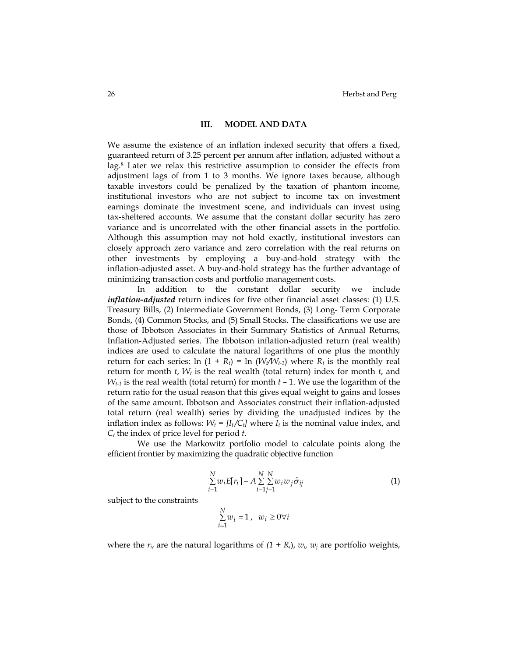## **III. MODEL AND DATA**

We assume the existence of an inflation indexed security that offers a fixed, guaranteed return of 3.25 percent per annum after inflation, adjusted without a lag.8 Later we relax this restrictive assumption to consider the effects from adjustment lags of from 1 to 3 months. We ignore taxes because, although taxable investors could be penalized by the taxation of phantom income, institutional investors who are not subject to income tax on investment earnings dominate the investment scene, and individuals can invest using tax-sheltered accounts. We assume that the constant dollar security has zero variance and is uncorrelated with the other financial assets in the portfolio. Although this assumption may not hold exactly, institutional investors can closely approach zero variance and zero correlation with the real returns on other investments by employing a buy-and-hold strategy with the inflation-adjusted asset. A buy-and-hold strategy has the further advantage of minimizing transaction costs and portfolio management costs.

In addition to the constant dollar security we include *inflation-adjusted* return indices for five other financial asset classes: (1) U.S. Treasury Bills, (2) Intermediate Government Bonds, (3) Long- Term Corporate Bonds, (4) Common Stocks, and (5) Small Stocks. The classifications we use are those of Ibbotson Associates in their Summary Statistics of Annual Returns, Inflation-Adjusted series. The Ibbotson inflation-adjusted return (real wealth) indices are used to calculate the natural logarithms of one plus the monthly return for each series:  $\ln (1 + R_t) = \ln (W_t/W_{t-1})$  where  $R_t$  is the monthly real return for month *t*, *Wt* is the real wealth (total return) index for month *t*, and *Wt-1* is the real wealth (total return) for month *t* – 1. We use the logarithm of the return ratio for the usual reason that this gives equal weight to gains and losses of the same amount. Ibbotson and Associates construct their inflation-adjusted total return (real wealth) series by dividing the unadjusted indices by the inflation index as follows:  $W_t = [I_t/C_t]$  where  $I_t$  is the nominal value index, and *Ct* the index of price level for period *t*.

We use the Markowitz portfolio model to calculate points along the efficient frontier by maximizing the quadratic objective function

$$
\sum_{i=1}^{N} w_i E[r_i] - A \sum_{i=1}^{N} \sum_{j=1}^{N} w_i w_j \hat{\sigma}_{ij}
$$
\n
$$
\tag{1}
$$

subject to the constraints

$$
\textstyle \sum\limits_{i=1}^{N} w_i = 1 \,, \;\; w_i \geq 0 \forall i
$$

where the  $r_i$ , are the natural logarithms of  $(1 + R_i)$ ,  $w_i$ ,  $w_j$  are portfolio weights,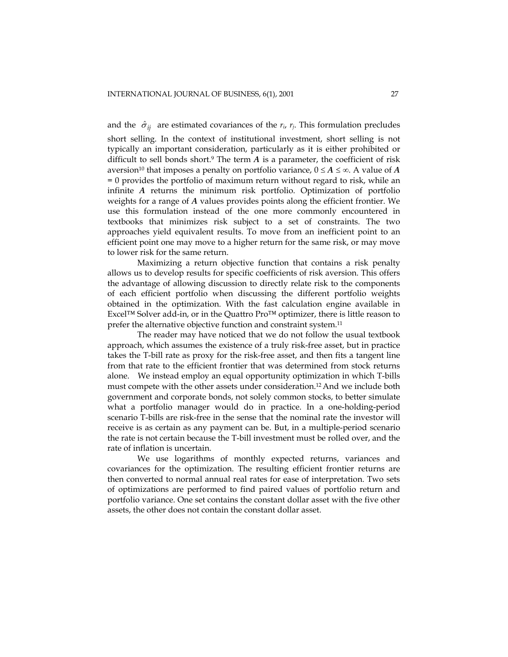and the  $\hat{\sigma}_{ij}$  are estimated covariances of the  $r_i$ ,  $r_j$ . This formulation precludes short selling. In the context of institutional investment, short selling is not typically an important consideration, particularly as it is either prohibited or difficult to sell bonds short.<sup>9</sup> The term  $A$  is a parameter, the coefficient of risk aversion<sup>10</sup> that imposes a penalty on portfolio variance,  $0 \le A \le \infty$ . A value of *A* = 0 provides the portfolio of maximum return without regard to risk, while an infinite *A* returns the minimum risk portfolio. Optimization of portfolio weights for a range of *A* values provides points along the efficient frontier. We use this formulation instead of the one more commonly encountered in textbooks that minimizes risk subject to a set of constraints. The two approaches yield equivalent results. To move from an inefficient point to an efficient point one may move to a higher return for the same risk, or may move to lower risk for the same return.

Maximizing a return objective function that contains a risk penalty allows us to develop results for specific coefficients of risk aversion. This offers the advantage of allowing discussion to directly relate risk to the components of each efficient portfolio when discussing the different portfolio weights obtained in the optimization. With the fast calculation engine available in Excel™ Solver add-in, or in the Quattro Pro™ optimizer, there is little reason to prefer the alternative objective function and constraint system.11

The reader may have noticed that we do not follow the usual textbook approach, which assumes the existence of a truly risk-free asset, but in practice takes the T-bill rate as proxy for the risk-free asset, and then fits a tangent line from that rate to the efficient frontier that was determined from stock returns alone. We instead employ an equal opportunity optimization in which T-bills must compete with the other assets under consideration.12 And we include both government and corporate bonds, not solely common stocks, to better simulate what a portfolio manager would do in practice. In a one-holding-period scenario T-bills are risk-free in the sense that the nominal rate the investor will receive is as certain as any payment can be. But, in a multiple-period scenario the rate is not certain because the T-bill investment must be rolled over, and the rate of inflation is uncertain.

We use logarithms of monthly expected returns, variances and covariances for the optimization. The resulting efficient frontier returns are then converted to normal annual real rates for ease of interpretation. Two sets of optimizations are performed to find paired values of portfolio return and portfolio variance. One set contains the constant dollar asset with the five other assets, the other does not contain the constant dollar asset.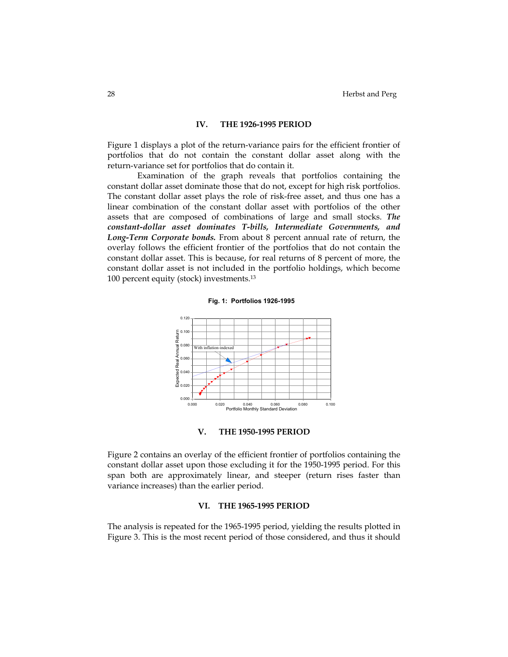## **IV. THE 1926-1995 PERIOD**

Figure 1 displays a plot of the return-variance pairs for the efficient frontier of portfolios that do not contain the constant dollar asset along with the return-variance set for portfolios that do contain it.

Examination of the graph reveals that portfolios containing the constant dollar asset dominate those that do not, except for high risk portfolios. The constant dollar asset plays the role of risk-free asset, and thus one has a linear combination of the constant dollar asset with portfolios of the other assets that are composed of combinations of large and small stocks. *The constant-dollar asset dominates T-bills, Intermediate Governments, and Long-Term Corporate bonds.* From about 8 percent annual rate of return, the overlay follows the efficient frontier of the portfolios that do not contain the constant dollar asset. This is because, for real returns of 8 percent of more, the constant dollar asset is not included in the portfolio holdings, which become 100 percent equity (stock) investments.13



## **V. THE 1950-1995 PERIOD**

Figure 2 contains an overlay of the efficient frontier of portfolios containing the constant dollar asset upon those excluding it for the 1950-1995 period. For this span both are approximately linear, and steeper (return rises faster than variance increases) than the earlier period.

# **VI. THE 1965-1995 PERIOD**

The analysis is repeated for the 1965-1995 period, yielding the results plotted in Figure 3. This is the most recent period of those considered, and thus it should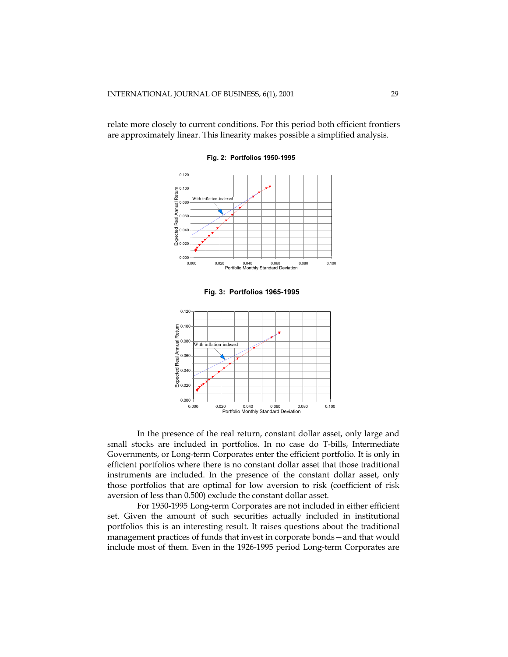relate more closely to current conditions. For this period both efficient frontiers are approximately linear. This linearity makes possible a simplified analysis.



**Fig. 2: Portfolios 1950-1995**





In the presence of the real return, constant dollar asset, only large and small stocks are included in portfolios. In no case do T-bills, Intermediate Governments, or Long-term Corporates enter the efficient portfolio. It is only in efficient portfolios where there is no constant dollar asset that those traditional instruments are included. In the presence of the constant dollar asset, only those portfolios that are optimal for low aversion to risk (coefficient of risk aversion of less than 0.500) exclude the constant dollar asset.

For 1950-1995 Long-term Corporates are not included in either efficient set. Given the amount of such securities actually included in institutional portfolios this is an interesting result. It raises questions about the traditional management practices of funds that invest in corporate bonds—and that would include most of them. Even in the 1926-1995 period Long-term Corporates are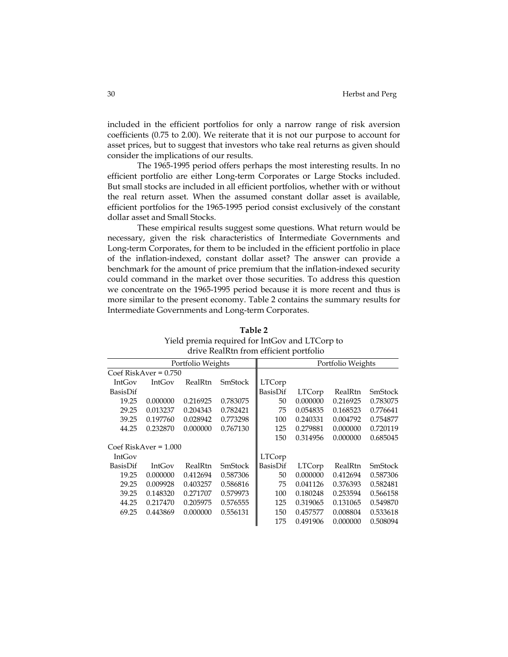included in the efficient portfolios for only a narrow range of risk aversion coefficients (0.75 to 2.00). We reiterate that it is not our purpose to account for asset prices, but to suggest that investors who take real returns as given should consider the implications of our results.

The 1965-1995 period offers perhaps the most interesting results. In no efficient portfolio are either Long-term Corporates or Large Stocks included. But small stocks are included in all efficient portfolios, whether with or without the real return asset. When the assumed constant dollar asset is available, efficient portfolios for the 1965-1995 period consist exclusively of the constant dollar asset and Small Stocks.

These empirical results suggest some questions. What return would be necessary, given the risk characteristics of Intermediate Governments and Long-term Corporates, for them to be included in the efficient portfolio in place of the inflation-indexed, constant dollar asset? The answer can provide a benchmark for the amount of price premium that the inflation-indexed security could command in the market over those securities. To address this question we concentrate on the 1965-1995 period because it is more recent and thus is more similar to the present economy. Table 2 contains the summary results for Intermediate Governments and Long-term Corporates.

|                   |                         |          | alive KealKin ffolk chicichi portiono |          |                   |          |          |  |
|-------------------|-------------------------|----------|---------------------------------------|----------|-------------------|----------|----------|--|
| Portfolio Weights |                         |          |                                       |          | Portfolio Weights |          |          |  |
|                   | Coef RiskAver = $0.750$ |          |                                       |          |                   |          |          |  |
| IntGov            | <b>IntGov</b>           | RealRtn  | SmStock                               | LTCorp   |                   |          |          |  |
| BasisDif          |                         |          |                                       | BasisDif | <b>LTCorp</b>     | RealRtn  | SmStock  |  |
| 19.25             | 0.000000                | 0.216925 | 0.783075                              | 50       | 0.000000          | 0.216925 | 0.783075 |  |
| 29.25             | 0.013237                | 0.204343 | 0.782421                              | 75       | 0.054835          | 0.168523 | 0.776641 |  |
| 39.25             | 0.197760                | 0.028942 | 0.773298                              | 100      | 0.240331          | 0.004792 | 0.754877 |  |
| 44.25             | 0.232870                | 0.000000 | 0.767130                              | 125      | 0.279881          | 0.000000 | 0.720119 |  |
|                   |                         |          |                                       | 150      | 0.314956          | 0.000000 | 0.685045 |  |
|                   | $Coef RiskAver = 1.000$ |          |                                       |          |                   |          |          |  |
| <b>IntGov</b>     |                         |          |                                       | LTCorp   |                   |          |          |  |
| BasisDif          | <b>IntGov</b>           | RealRtn  | <b>SmStock</b>                        | BasisDif | LTCorp            | RealRtn  | SmStock  |  |
| 19.25             | 0.000000                | 0.412694 | 0.587306                              | 50       | 0.000000          | 0.412694 | 0.587306 |  |
| 29.25             | 0.009928                | 0.403257 | 0.586816                              | 75       | 0.041126          | 0.376393 | 0.582481 |  |
| 39.25             | 0.148320                | 0.271707 | 0.579973                              | 100      | 0.180248          | 0.253594 | 0.566158 |  |
| 44.25             | 0.217470                | 0.205975 | 0.576555                              | 125      | 0.319065          | 0.131065 | 0.549870 |  |
| 69.25             | 0.443869                | 0.000000 | 0.556131                              | 150      | 0.457577          | 0.008804 | 0.533618 |  |
|                   |                         |          |                                       | 175      | 0.491906          | 0.000000 | 0.508094 |  |

**Table 2**  Yield premia required for IntGov and LTCorp to drive RealRtn from efficient portfolio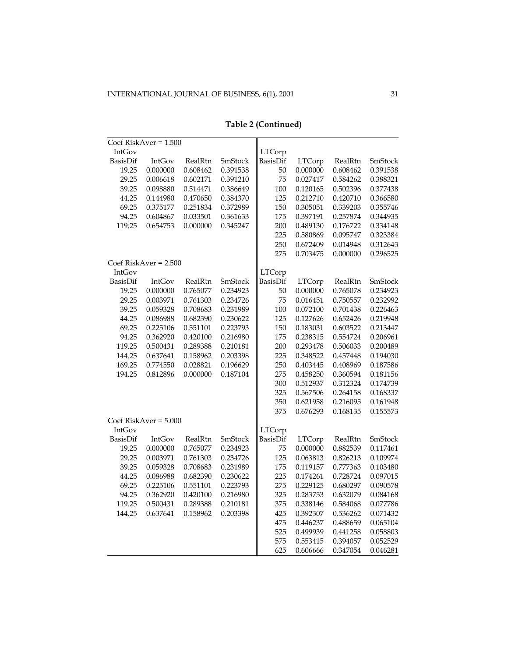| <b>LTCorp</b><br>IntGov<br>BasisDif<br>SmStock<br>BasisDif<br><b>LTCorp</b><br>SmStock<br>IntGov<br>RealRtn<br>RealRtn<br>19.25<br>0.000000<br>0.608462<br>0.391538<br>50<br>0.000000<br>0.608462<br>0.391538<br>29.25<br>75<br>0.027417<br>0.006618<br>0.602171<br>0.391210<br>0.584262<br>0.388321<br>39.25<br>0.098880<br>0.386649<br>100<br>0.502396<br>0.514471<br>0.120165<br>0.377438<br>44.25<br>0.144980<br>0.470650<br>0.384370<br>125<br>0.212710<br>0.420710<br>0.366580<br>69.25<br>0.375177<br>0.251834<br>0.372989<br>150<br>0.305051<br>0.339203<br>0.355746<br>94.25<br>0.604867<br>0.033501<br>0.361633<br>175<br>0.397191<br>0.257874<br>0.344935<br>0.000000<br>200<br>119.25<br>0.654753<br>0.345247<br>0.489130<br>0.176722<br>0.334148<br>225<br>0.580869<br>0.095747<br>0.323384<br>250<br>0.672409<br>0.014948<br>0.312643<br>275<br>0.703475<br>0.000000<br>0.296525<br>Coef RiskAver = $2.500$<br>IntGov<br><b>LTCorp</b><br>BasisDif<br>RealRtn<br>SmStock<br>BasisDif<br><b>LTCorp</b><br>SmStock<br>IntGov<br>RealRtn<br>19.25<br>0.000000<br>0.765077<br>0.234923<br>50<br>0.000000<br>0.765078<br>0.234923<br>29.25<br>0.003971<br>0.234726<br>75<br>0.016451<br>0.232992<br>0.761303<br>0.750557<br>39.25<br>0.059328<br>0.708683<br>0.231989<br>100<br>0.072100<br>0.701438<br>0.226463<br>44.25<br>0.230622<br>125<br>0.086988<br>0.682390<br>0.127626<br>0.652426<br>0.219948<br>69.25<br>0.225106<br>0.551101<br>0.223793<br>150<br>0.183031<br>0.603522<br>0.213447<br>175<br>94.25<br>0.362920<br>0.420100<br>0.216980<br>0.238315<br>0.554724<br>0.206961<br>119.25<br>0.500431<br>0.289388<br>200<br>0.293478<br>0.506033<br>0.210181<br>0.200489<br>225<br>144.25<br>0.637641<br>0.158962<br>0.203398<br>0.348522<br>0.457448<br>0.194030<br>169.25<br>0.774550<br>0.028821<br>0.196629<br>250<br>0.403445<br>0.408969<br>0.187586<br>275<br>194.25<br>0.812896<br>0.000000<br>0.187104<br>0.458250<br>0.360594<br>0.181156<br>300<br>0.512937<br>0.312324<br>0.174739<br>325<br>0.567506<br>0.264158<br>0.168337<br>350<br>0.621958<br>0.216095<br>0.161948<br>375<br>0.676293<br>0.168135<br>0.155573<br>IntGov<br><b>LTCorp</b><br>BasisDif<br>BasisDif<br>RealRtn<br>SmStock<br><b>LTCorp</b><br>RealRtn<br>SmStock<br>IntGov<br>19.25<br>0.000000<br>0.765077<br>0.234923<br>75<br>0.000000<br>0.882539<br>0.117461<br>29.25<br>0.003971<br>0.234726<br>125<br>0.063813<br>0.761303<br>0.826213<br>0.109974<br>0.231989<br>175<br>39.25<br>0.059328<br>0.708683<br>0.119157<br>0.777363<br>0.103480<br>225<br>44.25<br>0.086988<br>0.682390<br>0.230622<br>0.174261<br>0.728724<br>0.097015<br>69.25<br>0.225106<br>0.223793<br>275<br>0.229125<br>0.680297<br>0.551101<br>0.090578<br>325<br>94.25<br>0.362920<br>0.420100<br>0.216980<br>0.283753<br>0.632079<br>0.084168<br>119.25<br>0.500431<br>0.289388<br>375<br>0.338146<br>0.584068<br>0.210181<br>0.077786<br>425<br>0.392307<br>144.25<br>0.637641<br>0.158962<br>0.203398<br>0.536262<br>0.071432<br>475<br>0.446237<br>0.488659<br>0.065104<br>525<br>0.499939<br>0.058803<br>0.441258<br>575<br>0.553415<br>0.394057<br>0.052529<br>625<br>0.606666<br>0.347054<br>0.046281 | Coef RiskAver = 1.500   |  |  |  |  |  |
|------------------------------------------------------------------------------------------------------------------------------------------------------------------------------------------------------------------------------------------------------------------------------------------------------------------------------------------------------------------------------------------------------------------------------------------------------------------------------------------------------------------------------------------------------------------------------------------------------------------------------------------------------------------------------------------------------------------------------------------------------------------------------------------------------------------------------------------------------------------------------------------------------------------------------------------------------------------------------------------------------------------------------------------------------------------------------------------------------------------------------------------------------------------------------------------------------------------------------------------------------------------------------------------------------------------------------------------------------------------------------------------------------------------------------------------------------------------------------------------------------------------------------------------------------------------------------------------------------------------------------------------------------------------------------------------------------------------------------------------------------------------------------------------------------------------------------------------------------------------------------------------------------------------------------------------------------------------------------------------------------------------------------------------------------------------------------------------------------------------------------------------------------------------------------------------------------------------------------------------------------------------------------------------------------------------------------------------------------------------------------------------------------------------------------------------------------------------------------------------------------------------------------------------------------------------------------------------------------------------------------------------------------------------------------------------------------------------------------------------------------------------------------------------------------------------------------------------------------------------------------------------------------------------------------------------------------------------------------------------------------------------------------------------------------------------------------------------------------------------------------------------------------------------------------------------|-------------------------|--|--|--|--|--|
|                                                                                                                                                                                                                                                                                                                                                                                                                                                                                                                                                                                                                                                                                                                                                                                                                                                                                                                                                                                                                                                                                                                                                                                                                                                                                                                                                                                                                                                                                                                                                                                                                                                                                                                                                                                                                                                                                                                                                                                                                                                                                                                                                                                                                                                                                                                                                                                                                                                                                                                                                                                                                                                                                                                                                                                                                                                                                                                                                                                                                                                                                                                                                                                          |                         |  |  |  |  |  |
|                                                                                                                                                                                                                                                                                                                                                                                                                                                                                                                                                                                                                                                                                                                                                                                                                                                                                                                                                                                                                                                                                                                                                                                                                                                                                                                                                                                                                                                                                                                                                                                                                                                                                                                                                                                                                                                                                                                                                                                                                                                                                                                                                                                                                                                                                                                                                                                                                                                                                                                                                                                                                                                                                                                                                                                                                                                                                                                                                                                                                                                                                                                                                                                          |                         |  |  |  |  |  |
|                                                                                                                                                                                                                                                                                                                                                                                                                                                                                                                                                                                                                                                                                                                                                                                                                                                                                                                                                                                                                                                                                                                                                                                                                                                                                                                                                                                                                                                                                                                                                                                                                                                                                                                                                                                                                                                                                                                                                                                                                                                                                                                                                                                                                                                                                                                                                                                                                                                                                                                                                                                                                                                                                                                                                                                                                                                                                                                                                                                                                                                                                                                                                                                          |                         |  |  |  |  |  |
|                                                                                                                                                                                                                                                                                                                                                                                                                                                                                                                                                                                                                                                                                                                                                                                                                                                                                                                                                                                                                                                                                                                                                                                                                                                                                                                                                                                                                                                                                                                                                                                                                                                                                                                                                                                                                                                                                                                                                                                                                                                                                                                                                                                                                                                                                                                                                                                                                                                                                                                                                                                                                                                                                                                                                                                                                                                                                                                                                                                                                                                                                                                                                                                          |                         |  |  |  |  |  |
|                                                                                                                                                                                                                                                                                                                                                                                                                                                                                                                                                                                                                                                                                                                                                                                                                                                                                                                                                                                                                                                                                                                                                                                                                                                                                                                                                                                                                                                                                                                                                                                                                                                                                                                                                                                                                                                                                                                                                                                                                                                                                                                                                                                                                                                                                                                                                                                                                                                                                                                                                                                                                                                                                                                                                                                                                                                                                                                                                                                                                                                                                                                                                                                          |                         |  |  |  |  |  |
|                                                                                                                                                                                                                                                                                                                                                                                                                                                                                                                                                                                                                                                                                                                                                                                                                                                                                                                                                                                                                                                                                                                                                                                                                                                                                                                                                                                                                                                                                                                                                                                                                                                                                                                                                                                                                                                                                                                                                                                                                                                                                                                                                                                                                                                                                                                                                                                                                                                                                                                                                                                                                                                                                                                                                                                                                                                                                                                                                                                                                                                                                                                                                                                          |                         |  |  |  |  |  |
|                                                                                                                                                                                                                                                                                                                                                                                                                                                                                                                                                                                                                                                                                                                                                                                                                                                                                                                                                                                                                                                                                                                                                                                                                                                                                                                                                                                                                                                                                                                                                                                                                                                                                                                                                                                                                                                                                                                                                                                                                                                                                                                                                                                                                                                                                                                                                                                                                                                                                                                                                                                                                                                                                                                                                                                                                                                                                                                                                                                                                                                                                                                                                                                          |                         |  |  |  |  |  |
|                                                                                                                                                                                                                                                                                                                                                                                                                                                                                                                                                                                                                                                                                                                                                                                                                                                                                                                                                                                                                                                                                                                                                                                                                                                                                                                                                                                                                                                                                                                                                                                                                                                                                                                                                                                                                                                                                                                                                                                                                                                                                                                                                                                                                                                                                                                                                                                                                                                                                                                                                                                                                                                                                                                                                                                                                                                                                                                                                                                                                                                                                                                                                                                          |                         |  |  |  |  |  |
|                                                                                                                                                                                                                                                                                                                                                                                                                                                                                                                                                                                                                                                                                                                                                                                                                                                                                                                                                                                                                                                                                                                                                                                                                                                                                                                                                                                                                                                                                                                                                                                                                                                                                                                                                                                                                                                                                                                                                                                                                                                                                                                                                                                                                                                                                                                                                                                                                                                                                                                                                                                                                                                                                                                                                                                                                                                                                                                                                                                                                                                                                                                                                                                          |                         |  |  |  |  |  |
|                                                                                                                                                                                                                                                                                                                                                                                                                                                                                                                                                                                                                                                                                                                                                                                                                                                                                                                                                                                                                                                                                                                                                                                                                                                                                                                                                                                                                                                                                                                                                                                                                                                                                                                                                                                                                                                                                                                                                                                                                                                                                                                                                                                                                                                                                                                                                                                                                                                                                                                                                                                                                                                                                                                                                                                                                                                                                                                                                                                                                                                                                                                                                                                          |                         |  |  |  |  |  |
|                                                                                                                                                                                                                                                                                                                                                                                                                                                                                                                                                                                                                                                                                                                                                                                                                                                                                                                                                                                                                                                                                                                                                                                                                                                                                                                                                                                                                                                                                                                                                                                                                                                                                                                                                                                                                                                                                                                                                                                                                                                                                                                                                                                                                                                                                                                                                                                                                                                                                                                                                                                                                                                                                                                                                                                                                                                                                                                                                                                                                                                                                                                                                                                          |                         |  |  |  |  |  |
|                                                                                                                                                                                                                                                                                                                                                                                                                                                                                                                                                                                                                                                                                                                                                                                                                                                                                                                                                                                                                                                                                                                                                                                                                                                                                                                                                                                                                                                                                                                                                                                                                                                                                                                                                                                                                                                                                                                                                                                                                                                                                                                                                                                                                                                                                                                                                                                                                                                                                                                                                                                                                                                                                                                                                                                                                                                                                                                                                                                                                                                                                                                                                                                          |                         |  |  |  |  |  |
|                                                                                                                                                                                                                                                                                                                                                                                                                                                                                                                                                                                                                                                                                                                                                                                                                                                                                                                                                                                                                                                                                                                                                                                                                                                                                                                                                                                                                                                                                                                                                                                                                                                                                                                                                                                                                                                                                                                                                                                                                                                                                                                                                                                                                                                                                                                                                                                                                                                                                                                                                                                                                                                                                                                                                                                                                                                                                                                                                                                                                                                                                                                                                                                          |                         |  |  |  |  |  |
|                                                                                                                                                                                                                                                                                                                                                                                                                                                                                                                                                                                                                                                                                                                                                                                                                                                                                                                                                                                                                                                                                                                                                                                                                                                                                                                                                                                                                                                                                                                                                                                                                                                                                                                                                                                                                                                                                                                                                                                                                                                                                                                                                                                                                                                                                                                                                                                                                                                                                                                                                                                                                                                                                                                                                                                                                                                                                                                                                                                                                                                                                                                                                                                          |                         |  |  |  |  |  |
|                                                                                                                                                                                                                                                                                                                                                                                                                                                                                                                                                                                                                                                                                                                                                                                                                                                                                                                                                                                                                                                                                                                                                                                                                                                                                                                                                                                                                                                                                                                                                                                                                                                                                                                                                                                                                                                                                                                                                                                                                                                                                                                                                                                                                                                                                                                                                                                                                                                                                                                                                                                                                                                                                                                                                                                                                                                                                                                                                                                                                                                                                                                                                                                          |                         |  |  |  |  |  |
|                                                                                                                                                                                                                                                                                                                                                                                                                                                                                                                                                                                                                                                                                                                                                                                                                                                                                                                                                                                                                                                                                                                                                                                                                                                                                                                                                                                                                                                                                                                                                                                                                                                                                                                                                                                                                                                                                                                                                                                                                                                                                                                                                                                                                                                                                                                                                                                                                                                                                                                                                                                                                                                                                                                                                                                                                                                                                                                                                                                                                                                                                                                                                                                          |                         |  |  |  |  |  |
|                                                                                                                                                                                                                                                                                                                                                                                                                                                                                                                                                                                                                                                                                                                                                                                                                                                                                                                                                                                                                                                                                                                                                                                                                                                                                                                                                                                                                                                                                                                                                                                                                                                                                                                                                                                                                                                                                                                                                                                                                                                                                                                                                                                                                                                                                                                                                                                                                                                                                                                                                                                                                                                                                                                                                                                                                                                                                                                                                                                                                                                                                                                                                                                          |                         |  |  |  |  |  |
|                                                                                                                                                                                                                                                                                                                                                                                                                                                                                                                                                                                                                                                                                                                                                                                                                                                                                                                                                                                                                                                                                                                                                                                                                                                                                                                                                                                                                                                                                                                                                                                                                                                                                                                                                                                                                                                                                                                                                                                                                                                                                                                                                                                                                                                                                                                                                                                                                                                                                                                                                                                                                                                                                                                                                                                                                                                                                                                                                                                                                                                                                                                                                                                          |                         |  |  |  |  |  |
|                                                                                                                                                                                                                                                                                                                                                                                                                                                                                                                                                                                                                                                                                                                                                                                                                                                                                                                                                                                                                                                                                                                                                                                                                                                                                                                                                                                                                                                                                                                                                                                                                                                                                                                                                                                                                                                                                                                                                                                                                                                                                                                                                                                                                                                                                                                                                                                                                                                                                                                                                                                                                                                                                                                                                                                                                                                                                                                                                                                                                                                                                                                                                                                          |                         |  |  |  |  |  |
|                                                                                                                                                                                                                                                                                                                                                                                                                                                                                                                                                                                                                                                                                                                                                                                                                                                                                                                                                                                                                                                                                                                                                                                                                                                                                                                                                                                                                                                                                                                                                                                                                                                                                                                                                                                                                                                                                                                                                                                                                                                                                                                                                                                                                                                                                                                                                                                                                                                                                                                                                                                                                                                                                                                                                                                                                                                                                                                                                                                                                                                                                                                                                                                          |                         |  |  |  |  |  |
|                                                                                                                                                                                                                                                                                                                                                                                                                                                                                                                                                                                                                                                                                                                                                                                                                                                                                                                                                                                                                                                                                                                                                                                                                                                                                                                                                                                                                                                                                                                                                                                                                                                                                                                                                                                                                                                                                                                                                                                                                                                                                                                                                                                                                                                                                                                                                                                                                                                                                                                                                                                                                                                                                                                                                                                                                                                                                                                                                                                                                                                                                                                                                                                          |                         |  |  |  |  |  |
|                                                                                                                                                                                                                                                                                                                                                                                                                                                                                                                                                                                                                                                                                                                                                                                                                                                                                                                                                                                                                                                                                                                                                                                                                                                                                                                                                                                                                                                                                                                                                                                                                                                                                                                                                                                                                                                                                                                                                                                                                                                                                                                                                                                                                                                                                                                                                                                                                                                                                                                                                                                                                                                                                                                                                                                                                                                                                                                                                                                                                                                                                                                                                                                          |                         |  |  |  |  |  |
|                                                                                                                                                                                                                                                                                                                                                                                                                                                                                                                                                                                                                                                                                                                                                                                                                                                                                                                                                                                                                                                                                                                                                                                                                                                                                                                                                                                                                                                                                                                                                                                                                                                                                                                                                                                                                                                                                                                                                                                                                                                                                                                                                                                                                                                                                                                                                                                                                                                                                                                                                                                                                                                                                                                                                                                                                                                                                                                                                                                                                                                                                                                                                                                          |                         |  |  |  |  |  |
|                                                                                                                                                                                                                                                                                                                                                                                                                                                                                                                                                                                                                                                                                                                                                                                                                                                                                                                                                                                                                                                                                                                                                                                                                                                                                                                                                                                                                                                                                                                                                                                                                                                                                                                                                                                                                                                                                                                                                                                                                                                                                                                                                                                                                                                                                                                                                                                                                                                                                                                                                                                                                                                                                                                                                                                                                                                                                                                                                                                                                                                                                                                                                                                          |                         |  |  |  |  |  |
|                                                                                                                                                                                                                                                                                                                                                                                                                                                                                                                                                                                                                                                                                                                                                                                                                                                                                                                                                                                                                                                                                                                                                                                                                                                                                                                                                                                                                                                                                                                                                                                                                                                                                                                                                                                                                                                                                                                                                                                                                                                                                                                                                                                                                                                                                                                                                                                                                                                                                                                                                                                                                                                                                                                                                                                                                                                                                                                                                                                                                                                                                                                                                                                          |                         |  |  |  |  |  |
|                                                                                                                                                                                                                                                                                                                                                                                                                                                                                                                                                                                                                                                                                                                                                                                                                                                                                                                                                                                                                                                                                                                                                                                                                                                                                                                                                                                                                                                                                                                                                                                                                                                                                                                                                                                                                                                                                                                                                                                                                                                                                                                                                                                                                                                                                                                                                                                                                                                                                                                                                                                                                                                                                                                                                                                                                                                                                                                                                                                                                                                                                                                                                                                          |                         |  |  |  |  |  |
|                                                                                                                                                                                                                                                                                                                                                                                                                                                                                                                                                                                                                                                                                                                                                                                                                                                                                                                                                                                                                                                                                                                                                                                                                                                                                                                                                                                                                                                                                                                                                                                                                                                                                                                                                                                                                                                                                                                                                                                                                                                                                                                                                                                                                                                                                                                                                                                                                                                                                                                                                                                                                                                                                                                                                                                                                                                                                                                                                                                                                                                                                                                                                                                          |                         |  |  |  |  |  |
|                                                                                                                                                                                                                                                                                                                                                                                                                                                                                                                                                                                                                                                                                                                                                                                                                                                                                                                                                                                                                                                                                                                                                                                                                                                                                                                                                                                                                                                                                                                                                                                                                                                                                                                                                                                                                                                                                                                                                                                                                                                                                                                                                                                                                                                                                                                                                                                                                                                                                                                                                                                                                                                                                                                                                                                                                                                                                                                                                                                                                                                                                                                                                                                          |                         |  |  |  |  |  |
|                                                                                                                                                                                                                                                                                                                                                                                                                                                                                                                                                                                                                                                                                                                                                                                                                                                                                                                                                                                                                                                                                                                                                                                                                                                                                                                                                                                                                                                                                                                                                                                                                                                                                                                                                                                                                                                                                                                                                                                                                                                                                                                                                                                                                                                                                                                                                                                                                                                                                                                                                                                                                                                                                                                                                                                                                                                                                                                                                                                                                                                                                                                                                                                          |                         |  |  |  |  |  |
|                                                                                                                                                                                                                                                                                                                                                                                                                                                                                                                                                                                                                                                                                                                                                                                                                                                                                                                                                                                                                                                                                                                                                                                                                                                                                                                                                                                                                                                                                                                                                                                                                                                                                                                                                                                                                                                                                                                                                                                                                                                                                                                                                                                                                                                                                                                                                                                                                                                                                                                                                                                                                                                                                                                                                                                                                                                                                                                                                                                                                                                                                                                                                                                          | Coef RiskAver = $5.000$ |  |  |  |  |  |
|                                                                                                                                                                                                                                                                                                                                                                                                                                                                                                                                                                                                                                                                                                                                                                                                                                                                                                                                                                                                                                                                                                                                                                                                                                                                                                                                                                                                                                                                                                                                                                                                                                                                                                                                                                                                                                                                                                                                                                                                                                                                                                                                                                                                                                                                                                                                                                                                                                                                                                                                                                                                                                                                                                                                                                                                                                                                                                                                                                                                                                                                                                                                                                                          |                         |  |  |  |  |  |
|                                                                                                                                                                                                                                                                                                                                                                                                                                                                                                                                                                                                                                                                                                                                                                                                                                                                                                                                                                                                                                                                                                                                                                                                                                                                                                                                                                                                                                                                                                                                                                                                                                                                                                                                                                                                                                                                                                                                                                                                                                                                                                                                                                                                                                                                                                                                                                                                                                                                                                                                                                                                                                                                                                                                                                                                                                                                                                                                                                                                                                                                                                                                                                                          |                         |  |  |  |  |  |
|                                                                                                                                                                                                                                                                                                                                                                                                                                                                                                                                                                                                                                                                                                                                                                                                                                                                                                                                                                                                                                                                                                                                                                                                                                                                                                                                                                                                                                                                                                                                                                                                                                                                                                                                                                                                                                                                                                                                                                                                                                                                                                                                                                                                                                                                                                                                                                                                                                                                                                                                                                                                                                                                                                                                                                                                                                                                                                                                                                                                                                                                                                                                                                                          |                         |  |  |  |  |  |
|                                                                                                                                                                                                                                                                                                                                                                                                                                                                                                                                                                                                                                                                                                                                                                                                                                                                                                                                                                                                                                                                                                                                                                                                                                                                                                                                                                                                                                                                                                                                                                                                                                                                                                                                                                                                                                                                                                                                                                                                                                                                                                                                                                                                                                                                                                                                                                                                                                                                                                                                                                                                                                                                                                                                                                                                                                                                                                                                                                                                                                                                                                                                                                                          |                         |  |  |  |  |  |
|                                                                                                                                                                                                                                                                                                                                                                                                                                                                                                                                                                                                                                                                                                                                                                                                                                                                                                                                                                                                                                                                                                                                                                                                                                                                                                                                                                                                                                                                                                                                                                                                                                                                                                                                                                                                                                                                                                                                                                                                                                                                                                                                                                                                                                                                                                                                                                                                                                                                                                                                                                                                                                                                                                                                                                                                                                                                                                                                                                                                                                                                                                                                                                                          |                         |  |  |  |  |  |
|                                                                                                                                                                                                                                                                                                                                                                                                                                                                                                                                                                                                                                                                                                                                                                                                                                                                                                                                                                                                                                                                                                                                                                                                                                                                                                                                                                                                                                                                                                                                                                                                                                                                                                                                                                                                                                                                                                                                                                                                                                                                                                                                                                                                                                                                                                                                                                                                                                                                                                                                                                                                                                                                                                                                                                                                                                                                                                                                                                                                                                                                                                                                                                                          |                         |  |  |  |  |  |
|                                                                                                                                                                                                                                                                                                                                                                                                                                                                                                                                                                                                                                                                                                                                                                                                                                                                                                                                                                                                                                                                                                                                                                                                                                                                                                                                                                                                                                                                                                                                                                                                                                                                                                                                                                                                                                                                                                                                                                                                                                                                                                                                                                                                                                                                                                                                                                                                                                                                                                                                                                                                                                                                                                                                                                                                                                                                                                                                                                                                                                                                                                                                                                                          |                         |  |  |  |  |  |
|                                                                                                                                                                                                                                                                                                                                                                                                                                                                                                                                                                                                                                                                                                                                                                                                                                                                                                                                                                                                                                                                                                                                                                                                                                                                                                                                                                                                                                                                                                                                                                                                                                                                                                                                                                                                                                                                                                                                                                                                                                                                                                                                                                                                                                                                                                                                                                                                                                                                                                                                                                                                                                                                                                                                                                                                                                                                                                                                                                                                                                                                                                                                                                                          |                         |  |  |  |  |  |
|                                                                                                                                                                                                                                                                                                                                                                                                                                                                                                                                                                                                                                                                                                                                                                                                                                                                                                                                                                                                                                                                                                                                                                                                                                                                                                                                                                                                                                                                                                                                                                                                                                                                                                                                                                                                                                                                                                                                                                                                                                                                                                                                                                                                                                                                                                                                                                                                                                                                                                                                                                                                                                                                                                                                                                                                                                                                                                                                                                                                                                                                                                                                                                                          |                         |  |  |  |  |  |
|                                                                                                                                                                                                                                                                                                                                                                                                                                                                                                                                                                                                                                                                                                                                                                                                                                                                                                                                                                                                                                                                                                                                                                                                                                                                                                                                                                                                                                                                                                                                                                                                                                                                                                                                                                                                                                                                                                                                                                                                                                                                                                                                                                                                                                                                                                                                                                                                                                                                                                                                                                                                                                                                                                                                                                                                                                                                                                                                                                                                                                                                                                                                                                                          |                         |  |  |  |  |  |
|                                                                                                                                                                                                                                                                                                                                                                                                                                                                                                                                                                                                                                                                                                                                                                                                                                                                                                                                                                                                                                                                                                                                                                                                                                                                                                                                                                                                                                                                                                                                                                                                                                                                                                                                                                                                                                                                                                                                                                                                                                                                                                                                                                                                                                                                                                                                                                                                                                                                                                                                                                                                                                                                                                                                                                                                                                                                                                                                                                                                                                                                                                                                                                                          |                         |  |  |  |  |  |
|                                                                                                                                                                                                                                                                                                                                                                                                                                                                                                                                                                                                                                                                                                                                                                                                                                                                                                                                                                                                                                                                                                                                                                                                                                                                                                                                                                                                                                                                                                                                                                                                                                                                                                                                                                                                                                                                                                                                                                                                                                                                                                                                                                                                                                                                                                                                                                                                                                                                                                                                                                                                                                                                                                                                                                                                                                                                                                                                                                                                                                                                                                                                                                                          |                         |  |  |  |  |  |
|                                                                                                                                                                                                                                                                                                                                                                                                                                                                                                                                                                                                                                                                                                                                                                                                                                                                                                                                                                                                                                                                                                                                                                                                                                                                                                                                                                                                                                                                                                                                                                                                                                                                                                                                                                                                                                                                                                                                                                                                                                                                                                                                                                                                                                                                                                                                                                                                                                                                                                                                                                                                                                                                                                                                                                                                                                                                                                                                                                                                                                                                                                                                                                                          |                         |  |  |  |  |  |
|                                                                                                                                                                                                                                                                                                                                                                                                                                                                                                                                                                                                                                                                                                                                                                                                                                                                                                                                                                                                                                                                                                                                                                                                                                                                                                                                                                                                                                                                                                                                                                                                                                                                                                                                                                                                                                                                                                                                                                                                                                                                                                                                                                                                                                                                                                                                                                                                                                                                                                                                                                                                                                                                                                                                                                                                                                                                                                                                                                                                                                                                                                                                                                                          |                         |  |  |  |  |  |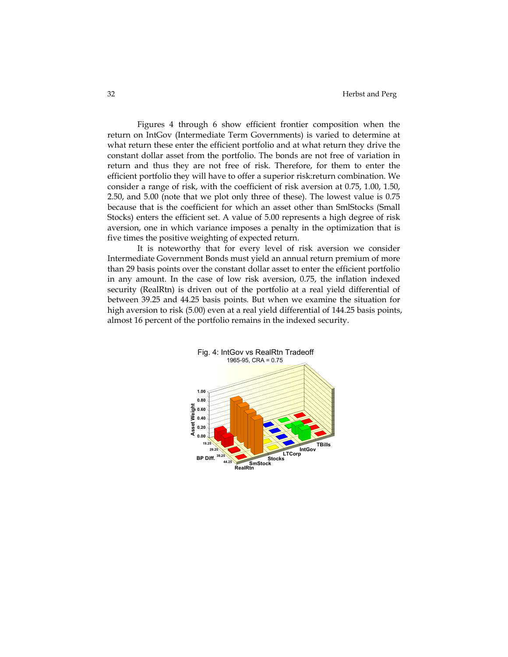Figures 4 through 6 show efficient frontier composition when the return on IntGov (Intermediate Term Governments) is varied to determine at what return these enter the efficient portfolio and at what return they drive the constant dollar asset from the portfolio. The bonds are not free of variation in return and thus they are not free of risk. Therefore, for them to enter the efficient portfolio they will have to offer a superior risk:return combination. We consider a range of risk, with the coefficient of risk aversion at 0.75, 1.00, 1.50, 2.50, and 5.00 (note that we plot only three of these). The lowest value is 0.75 because that is the coefficient for which an asset other than SmlStocks (Small Stocks) enters the efficient set. A value of 5.00 represents a high degree of risk aversion, one in which variance imposes a penalty in the optimization that is five times the positive weighting of expected return.

It is noteworthy that for every level of risk aversion we consider Intermediate Government Bonds must yield an annual return premium of more than 29 basis points over the constant dollar asset to enter the efficient portfolio in any amount. In the case of low risk aversion, 0.75, the inflation indexed security (RealRtn) is driven out of the portfolio at a real yield differential of between 39.25 and 44.25 basis points. But when we examine the situation for high aversion to risk (5.00) even at a real yield differential of 144.25 basis points, almost 16 percent of the portfolio remains in the indexed security.

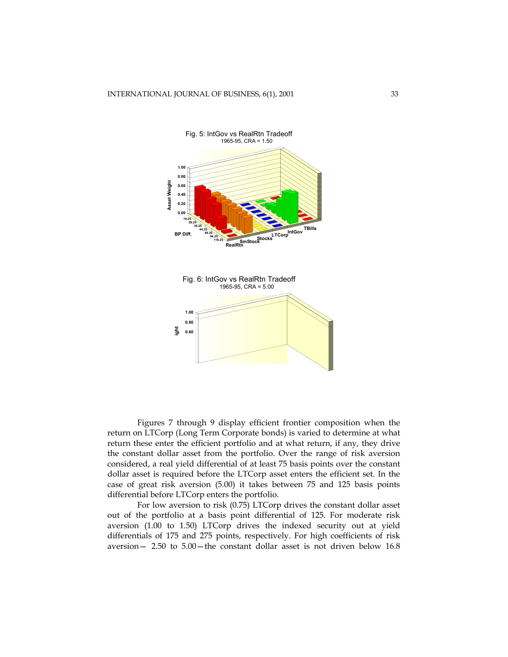



Figures 7 through 9 display efficient frontier composition when the return on LTCorp (Long Term Corporate bonds) is varied to determine at what return these enter the efficient portfolio and at what return, if any, they drive the constant dollar asset from the portfolio. Over the range of risk aversion considered, a real yield differential of at least 75 basis points over the constant dollar asset is required before the LTCorp asset enters the efficient set. In the case of great risk aversion (5.00) it takes between 75 and 125 basis points differential before LTCorp enters the portfolio.

For low aversion to risk (0.75) LTCorp drives the constant dollar asset out of the portfolio at a basis point differential of 125. For moderate risk aversion (1.00 to 1.50) LTCorp drives the indexed security out at yield differentials of 175 and 275 points, respectively. For high coefficients of risk aversion— 2.50 to 5.00—the constant dollar asset is not driven below 16.8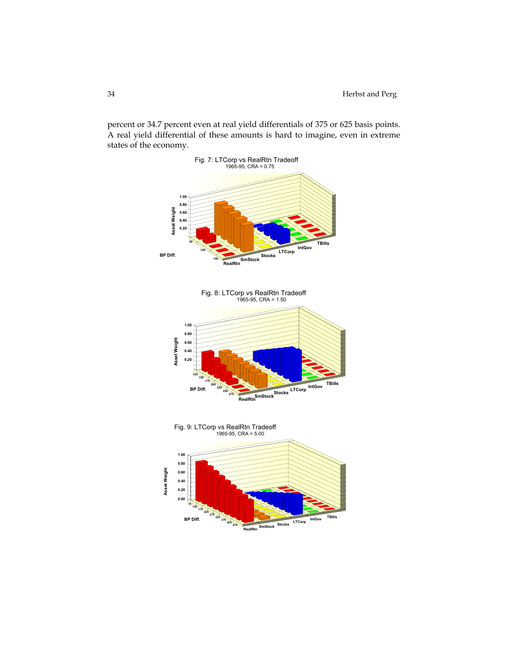percent or 34.7 percent even at real yield differentials of 375 or 625 basis points. A real yield differential of these amounts is hard to imagine, even in extreme states of the economy.

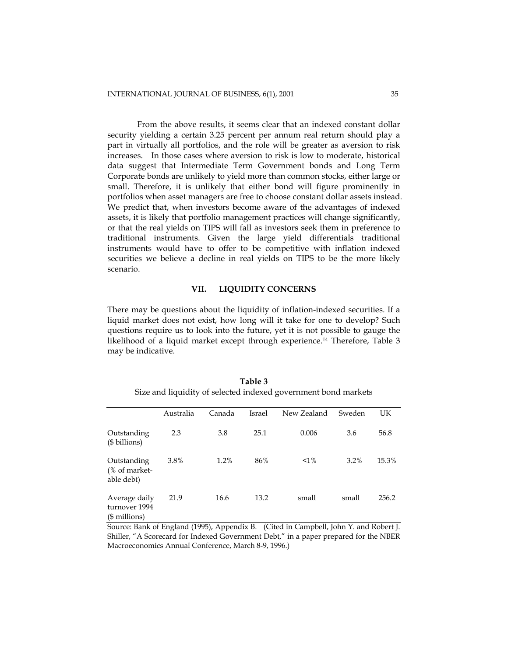From the above results, it seems clear that an indexed constant dollar security yielding a certain 3.25 percent per annum real return should play a part in virtually all portfolios, and the role will be greater as aversion to risk increases. In those cases where aversion to risk is low to moderate, historical data suggest that Intermediate Term Government bonds and Long Term Corporate bonds are unlikely to yield more than common stocks, either large or small. Therefore, it is unlikely that either bond will figure prominently in portfolios when asset managers are free to choose constant dollar assets instead. We predict that, when investors become aware of the advantages of indexed assets, it is likely that portfolio management practices will change significantly, or that the real yields on TIPS will fall as investors seek them in preference to traditional instruments. Given the large yield differentials traditional instruments would have to offer to be competitive with inflation indexed securities we believe a decline in real yields on TIPS to be the more likely scenario.

## **VII. LIQUIDITY CONCERNS**

There may be questions about the liquidity of inflation-indexed securities. If a liquid market does not exist, how long will it take for one to develop? Such questions require us to look into the future, yet it is not possible to gauge the likelihood of a liquid market except through experience.14 Therefore, Table 3 may be indicative.

|                                                  | Australia | Canada | Israel | New Zealand | Sweden | UK    |
|--------------------------------------------------|-----------|--------|--------|-------------|--------|-------|
| Outstanding<br>(\$ billions)                     | 2.3       | 3.8    | 25.1   | 0.006       | 3.6    | 56.8  |
| Outstanding<br>(% of market-<br>able debt)       | 3.8%      | 1.2%   | 86%    | $1\%$       | 3.2%   | 15.3% |
| Average daily<br>turnover 1994<br>$($$ millions) | 21.9      | 16.6   | 13.2   | small       | small  | 256.2 |

**Table 3** Size and liquidity of selected indexed government bond markets

Source: Bank of England (1995), Appendix B. (Cited in Campbell, John Y. and Robert J. Shiller, "A Scorecard for Indexed Government Debt," in a paper prepared for the NBER Macroeconomics Annual Conference, March 8-9, 1996.)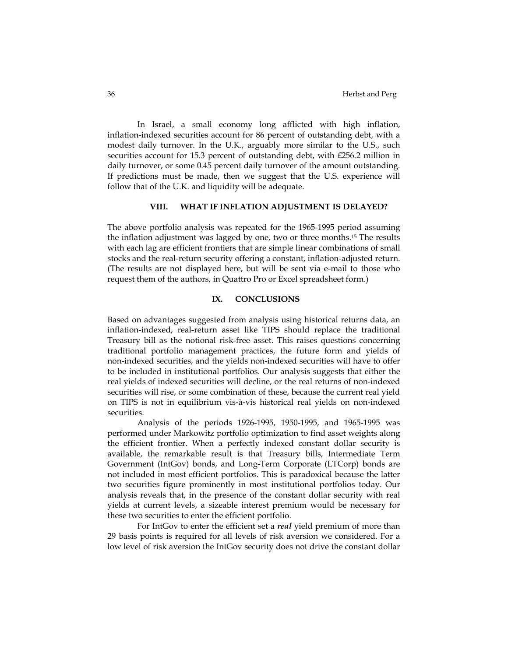In Israel, a small economy long afflicted with high inflation, inflation-indexed securities account for 86 percent of outstanding debt, with a modest daily turnover. In the U.K., arguably more similar to the U.S., such securities account for 15.3 percent of outstanding debt, with £256.2 million in daily turnover, or some 0.45 percent daily turnover of the amount outstanding. If predictions must be made, then we suggest that the U.S. experience will follow that of the U.K. and liquidity will be adequate.

# **VIII. WHAT IF INFLATION ADJUSTMENT IS DELAYED?**

The above portfolio analysis was repeated for the 1965-1995 period assuming the inflation adjustment was lagged by one, two or three months.15 The results with each lag are efficient frontiers that are simple linear combinations of small stocks and the real-return security offering a constant, inflation-adjusted return. (The results are not displayed here, but will be sent via e-mail to those who request them of the authors, in Quattro Pro or Excel spreadsheet form.)

# **IX. CONCLUSIONS**

Based on advantages suggested from analysis using historical returns data, an inflation-indexed, real-return asset like TIPS should replace the traditional Treasury bill as the notional risk-free asset. This raises questions concerning traditional portfolio management practices, the future form and yields of non-indexed securities, and the yields non-indexed securities will have to offer to be included in institutional portfolios. Our analysis suggests that either the real yields of indexed securities will decline, or the real returns of non-indexed securities will rise, or some combination of these, because the current real yield on TIPS is not in equilibrium vis-à-vis historical real yields on non-indexed securities.

Analysis of the periods 1926-1995, 1950-1995, and 1965-1995 was performed under Markowitz portfolio optimization to find asset weights along the efficient frontier. When a perfectly indexed constant dollar security is available, the remarkable result is that Treasury bills, Intermediate Term Government (IntGov) bonds, and Long-Term Corporate (LTCorp) bonds are not included in most efficient portfolios. This is paradoxical because the latter two securities figure prominently in most institutional portfolios today. Our analysis reveals that, in the presence of the constant dollar security with real yields at current levels, a sizeable interest premium would be necessary for these two securities to enter the efficient portfolio.

For IntGov to enter the efficient set a *real* yield premium of more than 29 basis points is required for all levels of risk aversion we considered. For a low level of risk aversion the IntGov security does not drive the constant dollar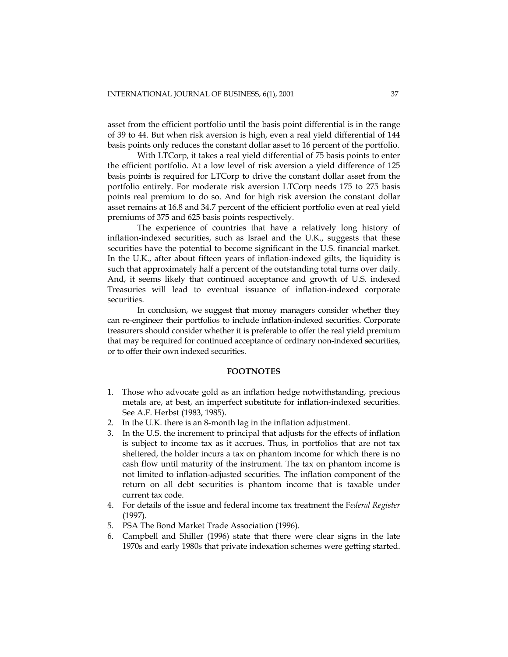asset from the efficient portfolio until the basis point differential is in the range of 39 to 44. But when risk aversion is high, even a real yield differential of 144 basis points only reduces the constant dollar asset to 16 percent of the portfolio.

With LTCorp, it takes a real yield differential of 75 basis points to enter the efficient portfolio. At a low level of risk aversion a yield difference of 125 basis points is required for LTCorp to drive the constant dollar asset from the portfolio entirely. For moderate risk aversion LTCorp needs 175 to 275 basis points real premium to do so. And for high risk aversion the constant dollar asset remains at 16.8 and 34.7 percent of the efficient portfolio even at real yield premiums of 375 and 625 basis points respectively.

The experience of countries that have a relatively long history of inflation-indexed securities, such as Israel and the U.K., suggests that these securities have the potential to become significant in the U.S. financial market. In the U.K., after about fifteen years of inflation-indexed gilts, the liquidity is such that approximately half a percent of the outstanding total turns over daily. And, it seems likely that continued acceptance and growth of U.S. indexed Treasuries will lead to eventual issuance of inflation-indexed corporate securities.

In conclusion, we suggest that money managers consider whether they can re-engineer their portfolios to include inflation-indexed securities. Corporate treasurers should consider whether it is preferable to offer the real yield premium that may be required for continued acceptance of ordinary non-indexed securities, or to offer their own indexed securities.

## **FOOTNOTES**

- 1. Those who advocate gold as an inflation hedge notwithstanding, precious metals are, at best, an imperfect substitute for inflation-indexed securities. See A.F. Herbst (1983, 1985).
- 2. In the U.K. there is an 8-month lag in the inflation adjustment.
- 3. In the U.S. the increment to principal that adjusts for the effects of inflation is subject to income tax as it accrues. Thus, in portfolios that are not tax sheltered, the holder incurs a tax on phantom income for which there is no cash flow until maturity of the instrument. The tax on phantom income is not limited to inflation-adjusted securities. The inflation component of the return on all debt securities is phantom income that is taxable under current tax code.
- 4. For details of the issue and federal income tax treatment the F*ederal Register* (1997).
- 5. PSA The Bond Market Trade Association (1996).
- 6. Campbell and Shiller (1996) state that there were clear signs in the late 1970s and early 1980s that private indexation schemes were getting started.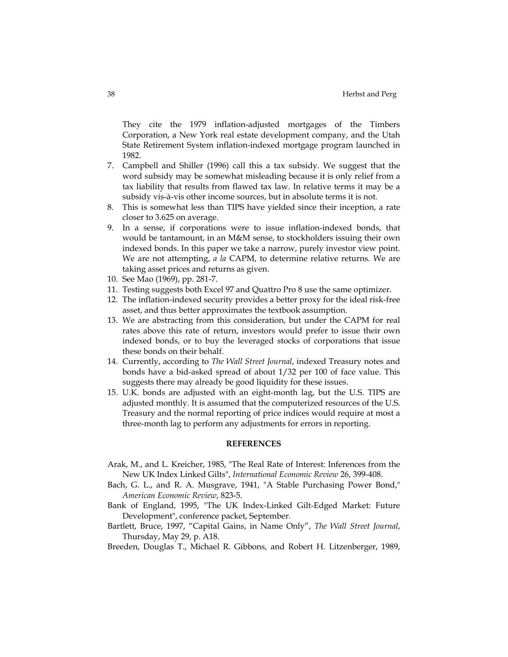They cite the 1979 inflation-adjusted mortgages of the Timbers Corporation, a New York real estate development company, and the Utah State Retirement System inflation-indexed mortgage program launched in 1982.

- 7. Campbell and Shiller (1996) call this a tax subsidy. We suggest that the word subsidy may be somewhat misleading because it is only relief from a tax liability that results from flawed tax law. In relative terms it may be a subsidy vis-à-vis other income sources, but in absolute terms it is not.
- 8. This is somewhat less than TIPS have yielded since their inception, a rate closer to 3.625 on average.
- 9. In a sense, if corporations were to issue inflation-indexed bonds, that would be tantamount, in an M&M sense, to stockholders issuing their own indexed bonds. In this paper we take a narrow, purely investor view point. We are not attempting, *a la* CAPM, to determine relative returns. We are taking asset prices and returns as given.
- 10. See Mao (1969), pp. 281-7.
- 11. Testing suggests both Excel 97 and Quattro Pro 8 use the same optimizer.
- 12. The inflation-indexed security provides a better proxy for the ideal risk-free asset, and thus better approximates the textbook assumption.
- 13. We are abstracting from this consideration, but under the CAPM for real rates above this rate of return, investors would prefer to issue their own indexed bonds, or to buy the leveraged stocks of corporations that issue these bonds on their behalf.
- 14. Currently, according to *The Wall Street Journal*, indexed Treasury notes and bonds have a bid-asked spread of about 1/32 per 100 of face value. This suggests there may already be good liquidity for these issues.
- 15. U.K. bonds are adjusted with an eight-month lag, but the U.S. TIPS are adjusted monthly. It is assumed that the computerized resources of the U.S. Treasury and the normal reporting of price indices would require at most a three-month lag to perform any adjustments for errors in reporting.

## **REFERENCES**

- Arak, M., and L. Kreicher, 1985, "The Real Rate of Interest: Inferences from the New UK Index Linked Gilts", *International Economic Review* 26, 399-408.
- Bach, G. L., and R. A. Musgrave, 1941, "A Stable Purchasing Power Bond," *American Economic Review*, 823-5.
- Bank of England, 1995, "The UK Index-Linked Gilt-Edged Market: Future Development", conference packet, September.
- Bartlett, Bruce, 1997, "Capital Gains, in Name Only", *The Wall Street Journal*, Thursday, May 29, p. A18.
- Breeden, Douglas T., Michael R. Gibbons, and Robert H. Litzenberger, 1989,